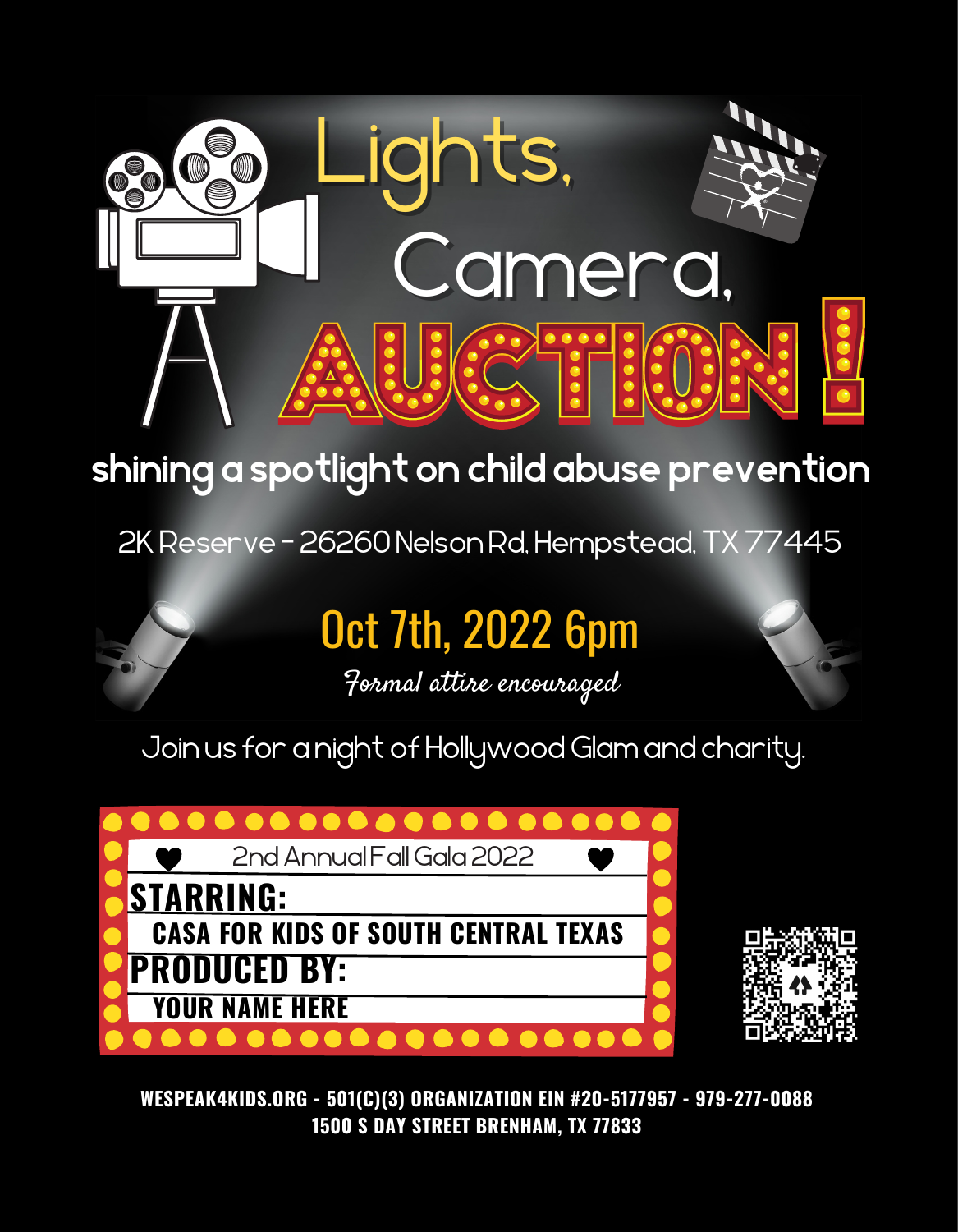



# Oct 7th, 2022 6pm



## **shining a spotlight on child abuse prevention**

2K Reserve - 26260 Nelson Rd, Hempstead, TX 77445

#### **WESPEAK4KIDS.ORG - 501(C)(3) ORGANIZATION EIN #20-5177957 - 979-277-0088 1500 S DAY STREET BRENHAM, TX 77833**

Formal attire encouraged



Join us for a night of Hollywood Glam and charity.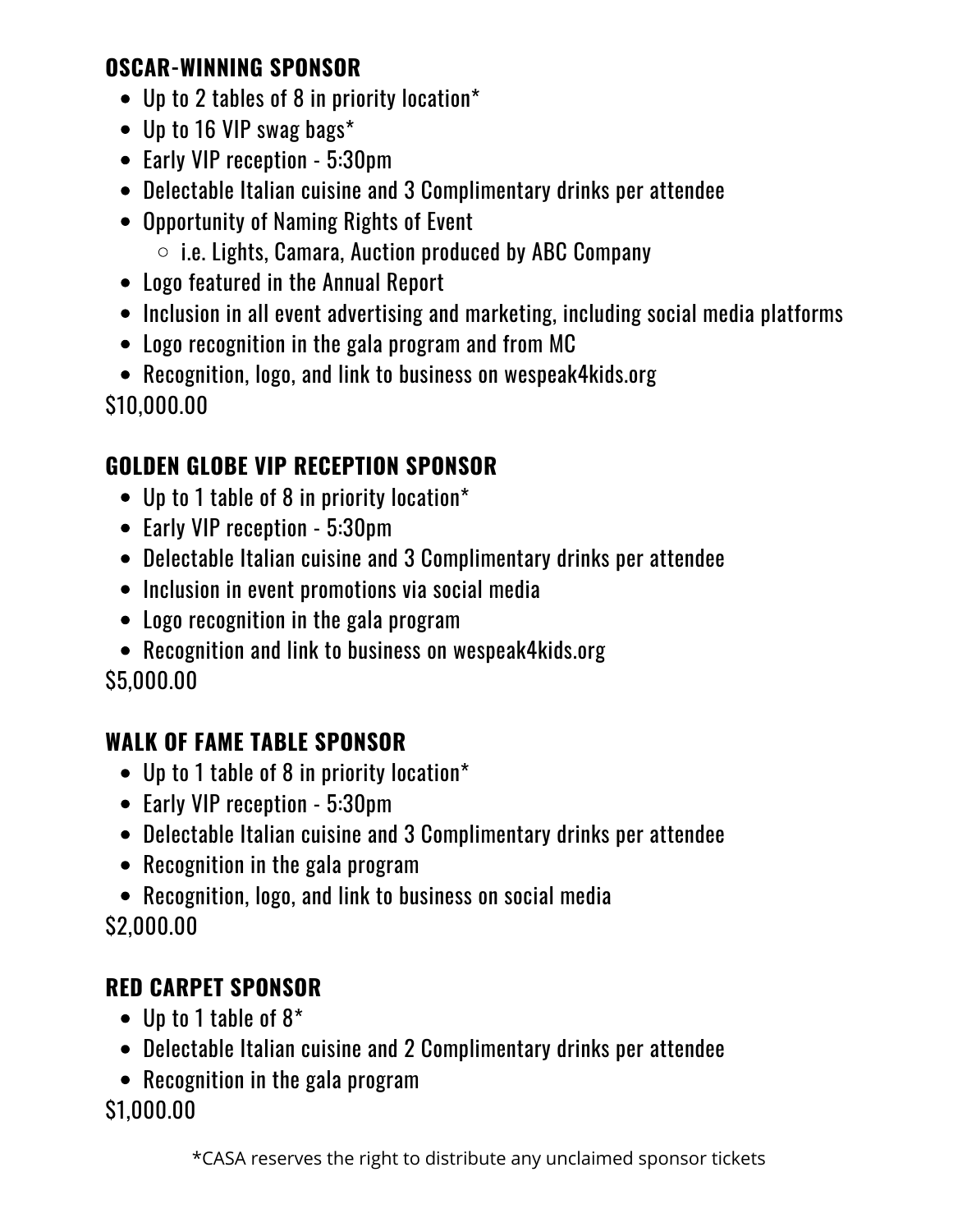- Up to 2 tables of 8 in priority location\*
- Up to 16 VIP swag bags\*
- Early VIP reception 5:30pm
- Delectable Italian cuisine and 3 Complimentary drinks per attendee
- Opportunity of Naming Rights of Event
	- $\circ$  i.e. Lights, Camara, Auction produced by ABC Company
- Logo featured in the Annual Report
- Inclusion in all event advertising and marketing, including social media platforms
- Logo recognition in the gala program and from MC
- Recognition, logo, and link to business on wespeak4kids.org \$10,000.00

- Up to 1 table of 8 in priority location\*
- Early VIP reception 5:30pm
- Delectable Italian cuisine and 3 Complimentary drinks per attendee
- Inclusion in event promotions via social media
- Logo recognition in the gala program
- Recognition and link to business on wespeak4kids.org \$5,000.00

- Up to 1 table of 8 in priority location\*
- Early VIP reception 5:30pm
- Delectable Italian cuisine and 3 Complimentary drinks per attendee
- Recognition in the gala program
- Recognition, logo, and link to business on social media \$2,000.00

- Up to 1 table of 8\*
- Delectable Italian cuisine and 2 Complimentary drinks per attendee
- Recognition in the gala program \$1,000.00

### **OSCAR-WINNING SPONSOR**

## **GOLDEN GLOBE VIP RECEPTION SPONSOR**

## **WALK OF FAME TABLE SPONSOR**

### **RED CARPET SPONSOR**

\*CASA reserves the right to distribute any unclaimed sponsor tickets